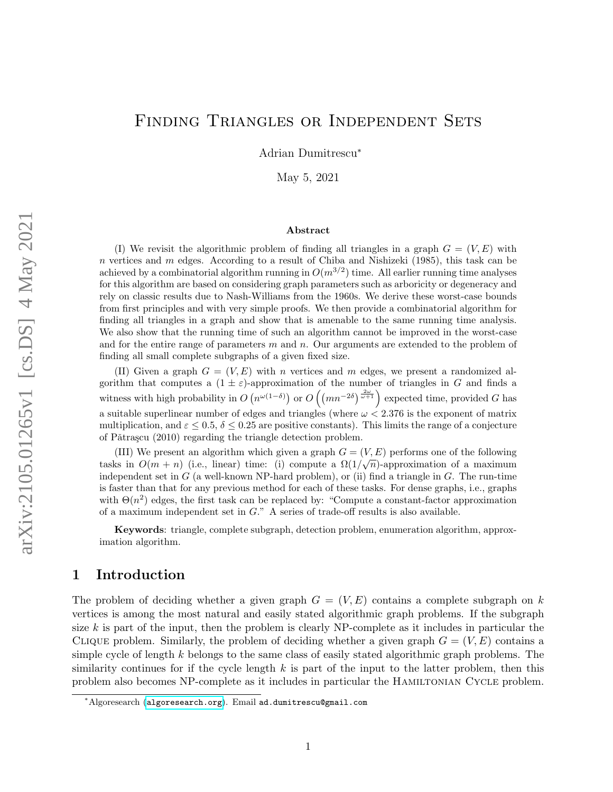# Finding Triangles or Independent Sets

Adrian Dumitrescu<sup>∗</sup>

May 5, 2021

#### Abstract

(I) We revisit the algorithmic problem of finding all triangles in a graph  $G = (V, E)$  with n vertices and m edges. According to a result of Chiba and Nishizeki (1985), this task can be achieved by a combinatorial algorithm running in  $O(m^{3/2})$  time. All earlier running time analyses for this algorithm are based on considering graph parameters such as arboricity or degeneracy and rely on classic results due to Nash-Williams from the 1960s. We derive these worst-case bounds from first principles and with very simple proofs. We then provide a combinatorial algorithm for finding all triangles in a graph and show that is amenable to the same running time analysis. We also show that the running time of such an algorithm cannot be improved in the worst-case and for the entire range of parameters  $m$  and  $n$ . Our arguments are extended to the problem of finding all small complete subgraphs of a given fixed size.

(II) Given a graph  $G = (V, E)$  with n vertices and m edges, we present a randomized algorithm that computes a  $(1 \pm \varepsilon)$ -approximation of the number of triangles in G and finds a witness with high probability in  $O(n^{\omega(1-\delta)})$  or  $O(nn^{-2\delta})^{\frac{2\omega}{\omega+1}}$  expected time, provided G has a suitable superlinear number of edges and triangles (where  $\omega < 2.376$  is the exponent of matrix multiplication, and  $\varepsilon \leq 0.5$ ,  $\delta \leq 0.25$  are positive constants). This limits the range of a conjecture of P $\tilde{a}$ trașcu (2010) regarding the triangle detection problem.

(III) We present an algorithm which given a graph  $G = (V, E)$  performs one of the following tasks in  $O(m+n)$  (i.e., linear) time: (i) compute a  $\Omega(1/\sqrt{n})$ -approximation of a maximum independent set in  $G$  (a well-known NP-hard problem), or (ii) find a triangle in  $G$ . The run-time is faster than that for any previous method for each of these tasks. For dense graphs, i.e., graphs with  $\Theta(n^2)$  edges, the first task can be replaced by: "Compute a constant-factor approximation of a maximum independent set in G." A series of trade-off results is also available.

Keywords: triangle, complete subgraph, detection problem, enumeration algorithm, approximation algorithm.

# <span id="page-0-0"></span>1 Introduction

The problem of deciding whether a given graph  $G = (V, E)$  contains a complete subgraph on k vertices is among the most natural and easily stated algorithmic graph problems. If the subgraph size  $k$  is part of the input, then the problem is clearly NP-complete as it includes in particular the CLIQUE problem. Similarly, the problem of deciding whether a given graph  $G = (V, E)$  contains a simple cycle of length  $k$  belongs to the same class of easily stated algorithmic graph problems. The similarity continues for if the cycle length  $k$  is part of the input to the latter problem, then this problem also becomes NP-complete as it includes in particular the Hamiltonian Cycle problem.

<sup>∗</sup>Algoresearch (<algoresearch.org>). Email ad.dumitrescu@gmail.com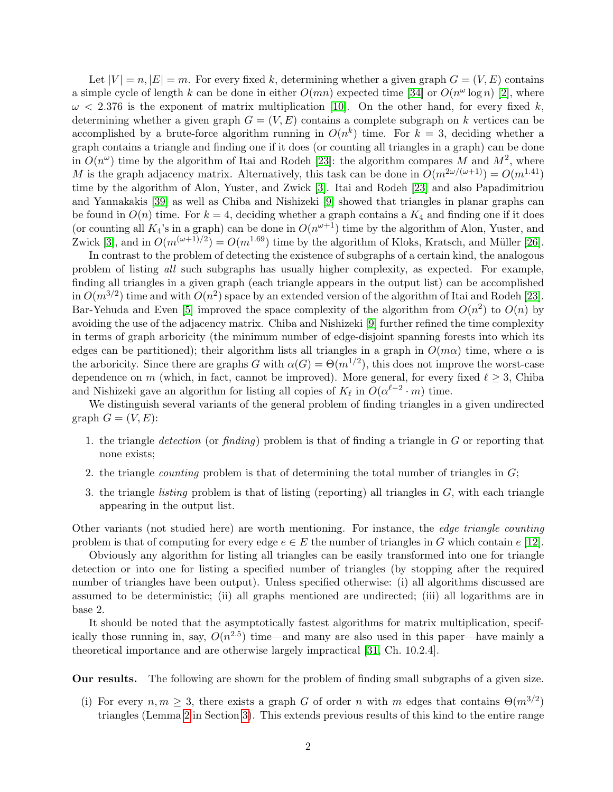Let  $|V| = n, |E| = m$ . For every fixed k, determining whether a given graph  $G = (V, E)$  contains a simple cycle of length k can be done in either  $O(mn)$  expected time [\[34\]](#page-12-0) or  $O(n^{\omega} \log n)$  [\[2\]](#page-10-0), where  $\omega$  < 2.376 is the exponent of matrix multiplication [\[10\]](#page-10-1). On the other hand, for every fixed k, determining whether a given graph  $G = (V, E)$  contains a complete subgraph on k vertices can be accomplished by a brute-force algorithm running in  $O(n^k)$  time. For  $k = 3$ , deciding whether a graph contains a triangle and finding one if it does (or counting all triangles in a graph) can be done in  $O(n^{\omega})$  time by the algorithm of Itai and Rodeh [\[23\]](#page-11-0): the algorithm compares M and  $M^2$ , where M is the graph adjacency matrix. Alternatively, this task can be done in  $O(m^{2\omega/(\omega+1)}) = O(m^{1.41})$ time by the algorithm of Alon, Yuster, and Zwick [\[3\]](#page-10-2). Itai and Rodeh [\[23\]](#page-11-0) and also Papadimitriou and Yannakakis [\[39\]](#page-12-1) as well as Chiba and Nishizeki [\[9\]](#page-10-3) showed that triangles in planar graphs can be found in  $O(n)$  time. For  $k = 4$ , deciding whether a graph contains a  $K_4$  and finding one if it does (or counting all  $K_4$ 's in a graph) can be done in  $O(n^{\omega+1})$  time by the algorithm of Alon, Yuster, and Zwick [\[3\]](#page-10-2), and in  $O(m^{(\omega+1)/2}) = O(m^{1.69})$  time by the algorithm of Kloks, Kratsch, and Müller [\[26\]](#page-11-1).

In contrast to the problem of detecting the existence of subgraphs of a certain kind, the analogous problem of listing all such subgraphs has usually higher complexity, as expected. For example, finding all triangles in a given graph (each triangle appears in the output list) can be accomplished in  $O(m^{3/2})$  time and with  $O(n^2)$  space by an extended version of the algorithm of Itai and Rodeh [\[23\]](#page-11-0). Bar-Yehuda and Even [\[5\]](#page-10-4) improved the space complexity of the algorithm from  $O(n^2)$  to  $O(n)$  by avoiding the use of the adjacency matrix. Chiba and Nishizeki [\[9\]](#page-10-3) further refined the time complexity in terms of graph arboricity (the minimum number of edge-disjoint spanning forests into which its edges can be partitioned); their algorithm lists all triangles in a graph in  $O(m\alpha)$  time, where  $\alpha$  is the arboricity. Since there are graphs G with  $\alpha(G) = \Theta(m^{1/2})$ , this does not improve the worst-case dependence on m (which, in fact, cannot be improved). More general, for every fixed  $\ell \geq 3$ , Chiba and Nishizeki gave an algorithm for listing all copies of  $K_{\ell}$  in  $O(\alpha^{\ell-2} \cdot m)$  time.

We distinguish several variants of the general problem of finding triangles in a given undirected graph  $G = (V, E)$ :

- 1. the triangle detection (or finding) problem is that of finding a triangle in  $G$  or reporting that none exists;
- 2. the triangle *counting* problem is that of determining the total number of triangles in  $G$ ;
- 3. the triangle *listing* problem is that of listing (reporting) all triangles in  $G$ , with each triangle appearing in the output list.

Other variants (not studied here) are worth mentioning. For instance, the edge triangle counting problem is that of computing for every edge  $e \in E$  the number of triangles in G which contain e [\[12\]](#page-10-5).

Obviously any algorithm for listing all triangles can be easily transformed into one for triangle detection or into one for listing a specified number of triangles (by stopping after the required number of triangles have been output). Unless specified otherwise: (i) all algorithms discussed are assumed to be deterministic; (ii) all graphs mentioned are undirected; (iii) all logarithms are in base 2.

It should be noted that the asymptotically fastest algorithms for matrix multiplication, specifically those running in, say,  $O(n^{2.5})$  time—and many are also used in this paper—have mainly a theoretical importance and are otherwise largely impractical [\[31,](#page-11-2) Ch. 10.2.4].

Our results. The following are shown for the problem of finding small subgraphs of a given size.

(i) For every  $n, m \geq 3$ , there exists a graph G of order n with m edges that contains  $\Theta(m^{3/2})$ triangles (Lemma [2](#page-6-0) in Section [3\)](#page-6-1). This extends previous results of this kind to the entire range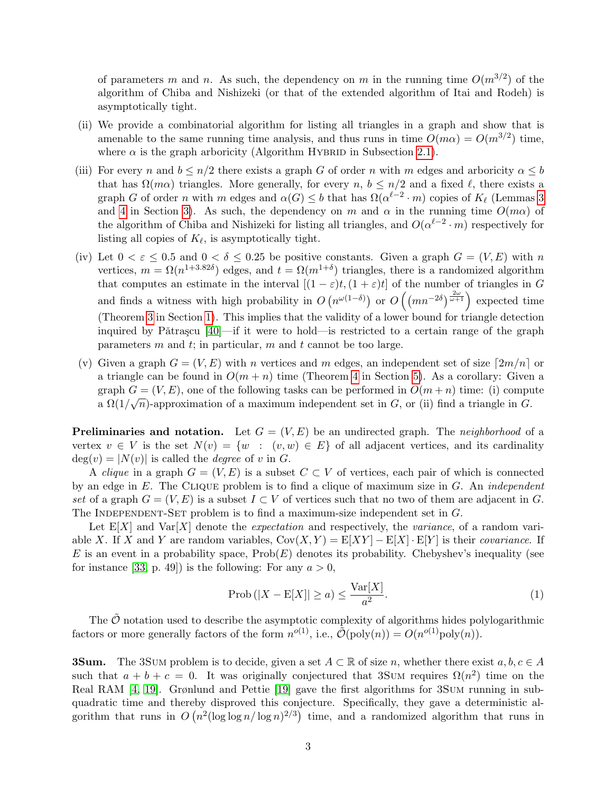of parameters m and n. As such, the dependency on m in the running time  $O(m^{3/2})$  of the algorithm of Chiba and Nishizeki (or that of the extended algorithm of Itai and Rodeh) is asymptotically tight.

- (ii) We provide a combinatorial algorithm for listing all triangles in a graph and show that is amenable to the same running time analysis, and thus runs in time  $O(m\alpha) = O(m^{3/2})$  time, where  $\alpha$  is the graph arboricity (Algorithm HYBRID in Subsection [2.1\)](#page-4-0).
- (iii) For every n and  $b \leq n/2$  there exists a graph G of order n with m edges and arboricity  $\alpha \leq b$ that has  $\Omega(m\alpha)$  triangles. More generally, for every n,  $b \leq n/2$  and a fixed  $\ell$ , there exists a graph G of order n with m edges and  $\alpha(G) \leq b$  that has  $\Omega(\alpha^{\ell-2} \cdot m)$  copies of  $K_{\ell}$  (Lemmas [3](#page-6-2) and [4](#page-7-0) in Section [3\)](#page-6-1). As such, the dependency on m and  $\alpha$  in the running time  $O(m\alpha)$  of the algorithm of Chiba and Nishizeki for listing all triangles, and  $O(\alpha^{\ell-2} \cdot m)$  respectively for listing all copies of  $K_{\ell}$ , is asymptotically tight.
- (iv) Let  $0 < \varepsilon \leq 0.5$  and  $0 < \delta \leq 0.25$  be positive constants. Given a graph  $G = (V, E)$  with n vertices,  $m = \Omega(n^{1+3.82\delta})$  edges, and  $t = \Omega(m^{1+\delta})$  triangles, there is a randomized algorithm that computes an estimate in the interval  $[(1 - \varepsilon)t, (1 + \varepsilon)t]$  of the number of triangles in G and finds a witness with high probability in  $O(n^{\omega(1-\delta)})$  or  $O(nn^{-2\delta})^{\frac{2\omega}{\omega+1}}$  expected time (Theorem [3](#page-3-0) in Section [1\)](#page-0-0). This implies that the validity of a lower bound for triangle detection inquired by P $\tilde{a}$ trascu [\[40\]](#page-12-2)—if it were to hold—is restricted to a certain range of the graph parameters  $m$  and  $t$ ; in particular,  $m$  and  $t$  cannot be too large.
- (v) Given a graph  $G = (V, E)$  with n vertices and m edges, an independent set of size  $[2m/n]$  or a triangle can be found in  $O(m+n)$  time (Theorem [4](#page-8-0) in Section [5\)](#page-8-1). As a corollary: Given a graph  $G = (V, E)$ , one of the following tasks can be performed in  $O(m+n)$  time: (i) compute a  $\Omega(1/\sqrt{n})$ -approximation of a maximum independent set in G, or (ii) find a triangle in G.

**Preliminaries and notation.** Let  $G = (V, E)$  be an undirected graph. The *neighborhood* of a vertex  $v \in V$  is the set  $N(v) = \{w : (v, w) \in E\}$  of all adjacent vertices, and its cardinality  $deg(v) = |N(v)|$  is called the *degree* of v in G.

A *clique* in a graph  $G = (V, E)$  is a subset  $C \subset V$  of vertices, each pair of which is connected by an edge in  $E$ . The CLIQUE problem is to find a clique of maximum size in  $G$ . An *independent* set of a graph  $G = (V, E)$  is a subset  $I \subset V$  of vertices such that no two of them are adjacent in G. The INDEPENDENT-SET problem is to find a maximum-size independent set in  $G$ .

Let  $E[X]$  and  $Var[X]$  denote the *expectation* and respectively, the *variance*, of a random variable X. If X and Y are random variables,  $Cov(X, Y) = E[XY] - E[X] \cdot E[Y]$  is their *covariance*. If E is an event in a probability space,  $Prob(E)$  denotes its probability. Chebyshev's inequality (see for instance [\[33,](#page-11-3) p. 49]) is the following: For any  $a > 0$ ,

<span id="page-2-0"></span>
$$
\text{Prob}\left(|X - \mathcal{E}[X]| \ge a\right) \le \frac{\text{Var}[X]}{a^2}.\tag{1}
$$

The  $\tilde{\mathcal{O}}$  notation used to describe the asymptotic complexity of algorithms hides polylogarithmic factors or more generally factors of the form  $n^{o(1)}$ , i.e.,  $\tilde{\mathcal{O}}(\text{poly}(n)) = O(n^{o(1)} \text{poly}(n)).$ 

**3Sum.** The 3Sum problem is to decide, given a set  $A \subset \mathbb{R}$  of size n, whether there exist  $a, b, c \in A$ such that  $a + b + c = 0$ . It was originally conjectured that 3Sum requires  $\Omega(n^2)$  time on the Real RAM [\[4,](#page-10-6) [19\]](#page-11-4). Grønlund and Pettie [\[19\]](#page-11-4) gave the first algorithms for 3SUM running in subquadratic time and thereby disproved this conjecture. Specifically, they gave a deterministic algorithm that runs in  $O(n^2(\log \log n/\log n)^{2/3})$  time, and a randomized algorithm that runs in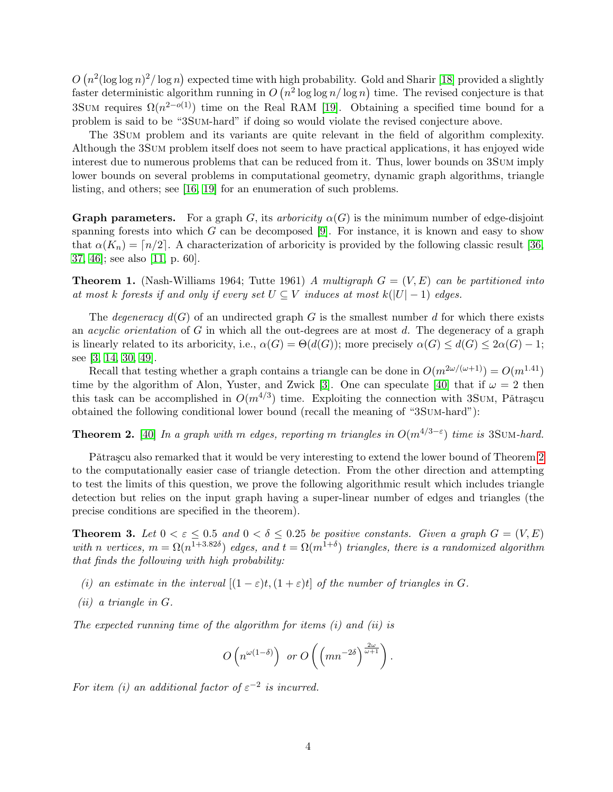$O(n^2(\log\log n)^2/\log n)$  expected time with high probability. Gold and Sharir [\[18\]](#page-11-5) provided a slightly faster deterministic algorithm running in  $O(n^2 \log \log n / \log n)$  time. The revised conjecture is that 3SUM requires  $\Omega(n^{2-o(1)})$  time on the Real RAM [\[19\]](#page-11-4). Obtaining a specified time bound for a problem is said to be "3Sum-hard" if doing so would violate the revised conjecture above.

The 3Sum problem and its variants are quite relevant in the field of algorithm complexity. Although the 3Sum problem itself does not seem to have practical applications, it has enjoyed wide interest due to numerous problems that can be reduced from it. Thus, lower bounds on 3Sum imply lower bounds on several problems in computational geometry, dynamic graph algorithms, triangle listing, and others; see [\[16,](#page-11-6) [19\]](#page-11-4) for an enumeration of such problems.

**Graph parameters.** For a graph G, its arboricity  $\alpha(G)$  is the minimum number of edge-disjoint spanning forests into which  $G$  can be decomposed [\[9\]](#page-10-3). For instance, it is known and easy to show that  $\alpha(K_n) = \lfloor n/2 \rfloor$ . A characterization of arboricity is provided by the following classic result [\[36,](#page-12-3) [37,](#page-12-4) [46\]](#page-12-5); see also [\[11,](#page-10-7) p. 60].

**Theorem 1.** (Nash-Williams 1964; Tutte 1961) A multigraph  $G = (V, E)$  can be partitioned into at most k forests if and only if every set  $U \subseteq V$  induces at most  $k(|U|-1)$  edges.

The degeneracy  $d(G)$  of an undirected graph G is the smallest number d for which there exists an *acyclic orientation* of G in which all the out-degrees are at most d. The degeneracy of a graph is linearly related to its arboricity, i.e.,  $\alpha(G) = \Theta(d(G))$ ; more precisely  $\alpha(G) \leq d(G) \leq 2\alpha(G) - 1$ ; see [\[3,](#page-10-2) [14,](#page-10-8) [30,](#page-11-7) [49\]](#page-12-6).

Recall that testing whether a graph contains a triangle can be done in  $O(m^{2\omega/(\omega+1)}) = O(m^{1.41})$ time by the algorithm of Alon, Yuster, and Zwick [\[3\]](#page-10-2). One can speculate [\[40\]](#page-12-2) that if  $\omega = 2$  then this task can be accomplished in  $O(m^{4/3})$  time. Exploiting the connection with 3Sum, Pătrașcu obtained the following conditional lower bound (recall the meaning of "3Sum-hard"):

<span id="page-3-1"></span>**Theorem 2.** [\[40\]](#page-12-2) In a graph with m edges, reporting m triangles in  $O(m^{4/3-\epsilon})$  time is 3Sum-hard.

Pǎtrascu also remarked that it would be very interesting to extend the lower bound of Theorem [2](#page-3-1) to the computationally easier case of triangle detection. From the other direction and attempting to test the limits of this question, we prove the following algorithmic result which includes triangle detection but relies on the input graph having a super-linear number of edges and triangles (the precise conditions are specified in the theorem).

<span id="page-3-0"></span>**Theorem 3.** Let  $0 < \varepsilon \leq 0.5$  and  $0 < \delta \leq 0.25$  be positive constants. Given a graph  $G = (V, E)$ with n vertices,  $m = \Omega(n^{1+3.82\delta})$  edges, and  $t = \Omega(m^{1+\delta})$  triangles, there is a randomized algorithm that finds the following with high probability:

- (i) an estimate in the interval  $[(1 \varepsilon)t, (1 + \varepsilon)t]$  of the number of triangles in G.
- (ii) a triangle in G.

The expected running time of the algorithm for items (i) and (ii) is

$$
O\left(n^{\omega(1-\delta)}\right) \text{ or } O\left(\left(mn^{-2\delta}\right)^{\frac{2\omega}{\omega+1}}\right).
$$

For item (i) an additional factor of  $\varepsilon^{-2}$  is incurred.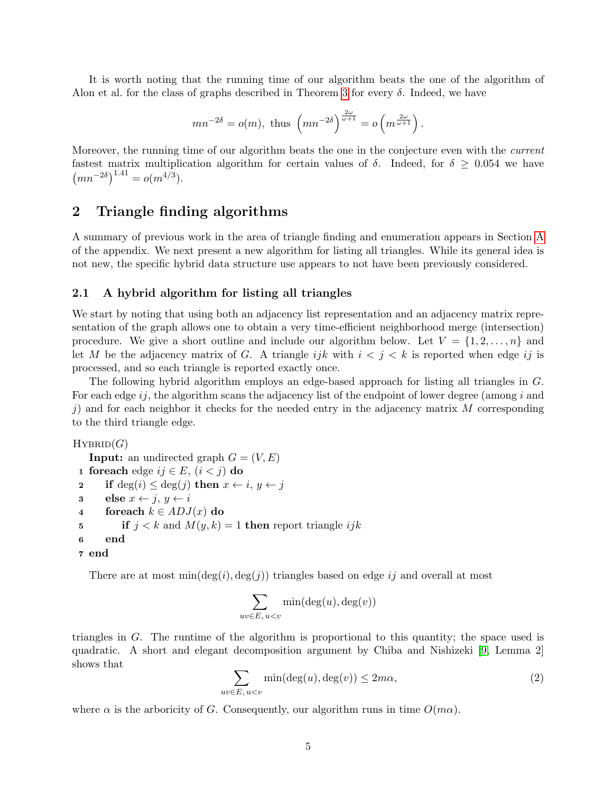It is worth noting that the running time of our algorithm beats the one of the algorithm of Alon et al. for the class of graphs described in Theorem [3](#page-3-0) for every  $\delta$ . Indeed, we have

$$
mn^{-2\delta} = o(m), \text{ thus } \left(mn^{-2\delta}\right)^{\frac{2\omega}{\omega+1}} = o\left(m^{\frac{2\omega}{\omega+1}}\right).
$$

Moreover, the running time of our algorithm beats the one in the conjecture even with the *current* fastest matrix multiplication algorithm for certain values of  $\delta$ . Indeed, for  $\delta \geq 0.054$  we have  $(mn^{-2\delta})^{1.41} = o(m^{4/3}).$ 

## <span id="page-4-2"></span>2 Triangle finding algorithms

A summary of previous work in the area of triangle finding and enumeration appears in Section [A](#page-13-0) of the appendix. We next present a new algorithm for listing all triangles. While its general idea is not new, the specific hybrid data structure use appears to not have been previously considered.

#### <span id="page-4-0"></span>2.1 A hybrid algorithm for listing all triangles

We start by noting that using both an adjacency list representation and an adjacency matrix representation of the graph allows one to obtain a very time-efficient neighborhood merge (intersection) procedure. We give a short outline and include our algorithm below. Let  $V = \{1, 2, \ldots, n\}$  and let M be the adjacency matrix of G. A triangle ijk with  $i < j < k$  is reported when edge ij is processed, and so each triangle is reported exactly once.

The following hybrid algorithm employs an edge-based approach for listing all triangles in G. For each edge  $ij$ , the algorithm scans the adjacency list of the endpoint of lower degree (among i and j) and for each neighbor it checks for the needed entry in the adjacency matrix  $M$  corresponding to the third triangle edge.

 $HYBRID(G)$ 

```
Input: an undirected graph G = (V, E)1 foreach edge ij \in E, (i < j) do
2 if deg(i) \leq deg(j) then x \leftarrow i, y \leftarrow j3 else x \leftarrow j, y \leftarrow i4 foreach k \in ADJ(x) do
5 if j < k and M(y, k) = 1 then report triangle ijk
6 end
7 end
```
There are at most  $\min(\deg(i), \deg(j))$  triangles based on edge ij and overall at most

$$
\sum_{uv \in E, u < v} \min(\deg(u), \deg(v))
$$

triangles in G. The runtime of the algorithm is proportional to this quantity; the space used is quadratic. A short and elegant decomposition argument by Chiba and Nishizeki [\[9,](#page-10-3) Lemma 2] shows that

<span id="page-4-1"></span>
$$
\sum_{uv \in E, u < v} \min(\deg(u), \deg(v)) \le 2m\alpha,\tag{2}
$$

where  $\alpha$  is the arboricity of G. Consequently, our algorithm runs in time  $O(m\alpha)$ .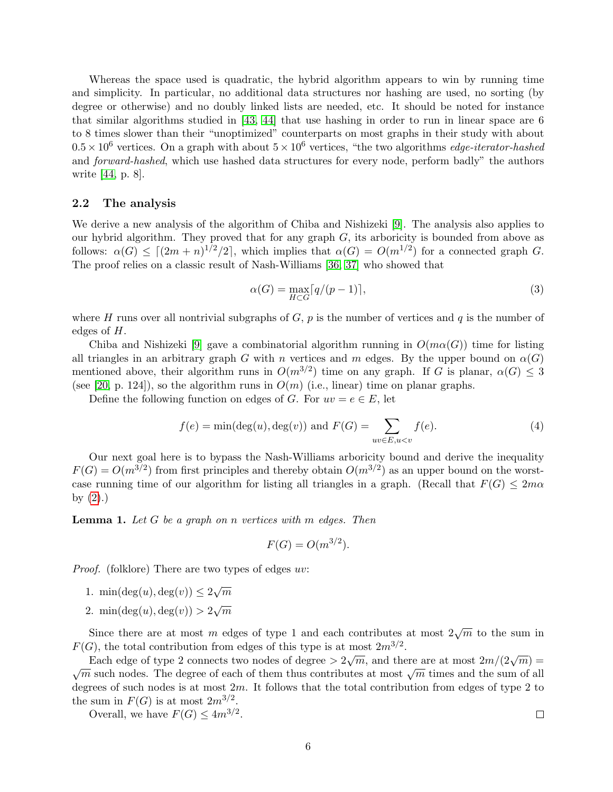Whereas the space used is quadratic, the hybrid algorithm appears to win by running time and simplicity. In particular, no additional data structures nor hashing are used, no sorting (by degree or otherwise) and no doubly linked lists are needed, etc. It should be noted for instance that similar algorithms studied in [\[43,](#page-12-7) [44\]](#page-12-8) that use hashing in order to run in linear space are 6 to 8 times slower than their "unoptimized" counterparts on most graphs in their study with about  $0.5 \times 10^6$  vertices. On a graph with about  $5 \times 10^6$  vertices, "the two algorithms *edge-iterator-hashed* and forward-hashed, which use hashed data structures for every node, perform badly" the authors write [\[44,](#page-12-8) p. 8].

#### 2.2 The analysis

We derive a new analysis of the algorithm of Chiba and Nishizeki [\[9\]](#page-10-3). The analysis also applies to our hybrid algorithm. They proved that for any graph  $G$ , its arboricity is bounded from above as follows:  $\alpha(G) \leq [(2m+n)^{1/2}/2]$ , which implies that  $\alpha(G) = O(m^{1/2})$  for a connected graph G. The proof relies on a classic result of Nash-Williams [\[36,](#page-12-3) [37\]](#page-12-4) who showed that

$$
\alpha(G) = \max_{H \subset G} \lceil q/(p-1) \rceil,\tag{3}
$$

where H runs over all nontrivial subgraphs of  $G, p$  is the number of vertices and q is the number of edges of H.

Chiba and Nishizeki [\[9\]](#page-10-3) gave a combinatorial algorithm running in  $O(m\alpha(G))$  time for listing all triangles in an arbitrary graph G with n vertices and m edges. By the upper bound on  $\alpha(G)$ mentioned above, their algorithm runs in  $O(m^{3/2})$  time on any graph. If G is planar,  $\alpha(G) \leq 3$ (see [\[20,](#page-11-8) p. 124]), so the algorithm runs in  $O(m)$  (i.e., linear) time on planar graphs.

Define the following function on edges of G. For  $uv = e \in E$ , let

$$
f(e) = \min(\deg(u), \deg(v)) \text{ and } F(G) = \sum_{uv \in E, u < v} f(e). \tag{4}
$$

Our next goal here is to bypass the Nash-Williams arboricity bound and derive the inequality  $F(G) = O(m^{3/2})$  from first principles and thereby obtain  $O(m^{3/2})$  as an upper bound on the worstcase running time of our algorithm for listing all triangles in a graph. (Recall that  $F(G) \leq 2m\alpha$ by  $(2).$ 

<span id="page-5-0"></span>**Lemma 1.** Let  $G$  be a graph on n vertices with  $m$  edges. Then

$$
F(G) = O(m^{3/2}).
$$

*Proof.* (folklore) There are two types of edges uv:

- 1. min $(\deg(u), \deg(v)) \leq 2\sqrt{m}$
- 2. min $(\deg(u), \deg(v)) > 2\sqrt{m}$

Since there are at most m edges of type 1 and each contributes at most  $2\sqrt{m}$  to the sum in  $F(G)$ , the total contribution from edges of this type is at most  $2m^{3/2}$ .

Each edge of type 2 connects two nodes of degree  $> 2\sqrt{m}$ , and there are at most  $2m/(2\sqrt{m}) =$ Let us the degree of each of them thus contributes at most  $\sqrt{m}$  times and the sum of all  $\sqrt{m}$  such nodes. The degree of each of them thus contributes at most  $\sqrt{m}$  times and the sum of all degrees of such nodes is at most  $2m$ . It follows that the total contribution from edges of type 2 to the sum in  $F(G)$  is at most  $2m^{3/2}$ .

Overall, we have  $F(G) \leq 4m^{3/2}$ .

$$
\Box
$$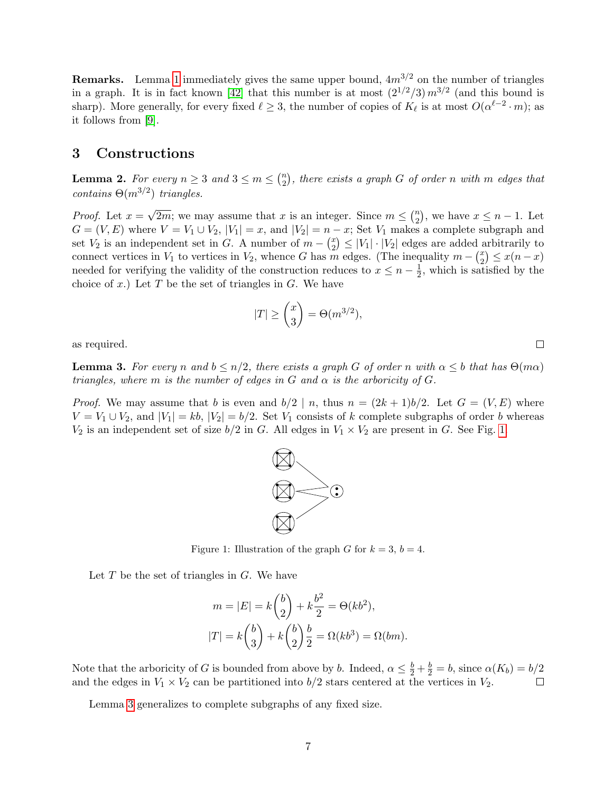**Remarks.** Lemma [1](#page-5-0) immediately gives the same upper bound,  $4m^{3/2}$  on the number of triangles in a graph. It is in fact known [\[42\]](#page-12-9) that this number is at most  $(2^{1/2}/3) m^{3/2}$  (and this bound is sharp). More generally, for every fixed  $\ell \geq 3$ , the number of copies of  $K_{\ell}$  is at most  $O(\alpha^{\ell-2} \cdot m)$ ; as it follows from [\[9\]](#page-10-3).

# <span id="page-6-1"></span>3 Constructions

<span id="page-6-0"></span>**Lemma 2.** For every  $n \geq 3$  and  $3 \leq m \leq {n \choose 2}$  $\binom{n}{2},$  there exists a graph  $G$  of order n with  $m$  edges that contains  $\Theta(m^{3/2})$  triangles.

*Proof.* Let  $x =$ √  $\overline{2m}$ ; we may assume that x is an integer. Since  $m \leq {n \choose 2}$  $\binom{n}{2}$ , we have  $x \leq n-1$ . Let  $G = (V, E)$  where  $V = V_1 \cup V_2$ ,  $|V_1| = x$ , and  $|V_2| = n - x$ ; Set  $V_1$  makes a complete subgraph and set  $V_2$  is an independent set in G. A number of  $m - \binom{x}{2}$  $\binom{x}{2} \leq |V_1| \cdot |V_2|$  edges are added arbitrarily to connect vertices in  $V_1$  to vertices in  $V_2$ , whence G has m edges. (The inequality  $m - \binom{x}{2}$  $\binom{x}{2} \leq x(n-x)$ needed for verifying the validity of the construction reduces to  $x \leq n - \frac{1}{2}$  $\frac{1}{2}$ , which is satisfied by the choice of x.) Let T be the set of triangles in  $G$ . We have

$$
|T|\geq \binom{x}{3}=\Theta(m^{3/2}),
$$

as required.

<span id="page-6-2"></span>**Lemma 3.** For every n and  $b \leq n/2$ , there exists a graph G of order n with  $\alpha \leq b$  that has  $\Theta(m\alpha)$ triangles, where m is the number of edges in G and  $\alpha$  is the arboricity of G.

<span id="page-6-3"></span>*Proof.* We may assume that b is even and  $b/2 \mid n$ , thus  $n = (2k+1)b/2$ . Let  $G = (V, E)$  where  $V = V_1 \cup V_2$ , and  $|V_1| = kb$ ,  $|V_2| = b/2$ . Set  $V_1$  consists of k complete subgraphs of order b whereas  $V_2$  is an independent set of size  $b/2$  in G. All edges in  $V_1 \times V_2$  are present in G. See Fig. [1.](#page-6-3)



Let  $T$  be the set of triangles in  $G$ . We have

$$
m = |E| = k \binom{b}{2} + k \frac{b^2}{2} = \Theta(kb^2),
$$
  

$$
|T| = k \binom{b}{3} + k \binom{b}{2} \frac{b}{2} = \Omega(kb^3) = \Omega(bm).
$$

Note that the arboricity of G is bounded from above by b. Indeed,  $\alpha \leq \frac{b}{2} + \frac{b}{2} = b$ , since  $\alpha(K_b) = b/2$ and the edges in  $V_1 \times V_2$  can be partitioned into  $b/2$  stars centered at the vertices in  $V_2$ .

Lemma [3](#page-6-2) generalizes to complete subgraphs of any fixed size.

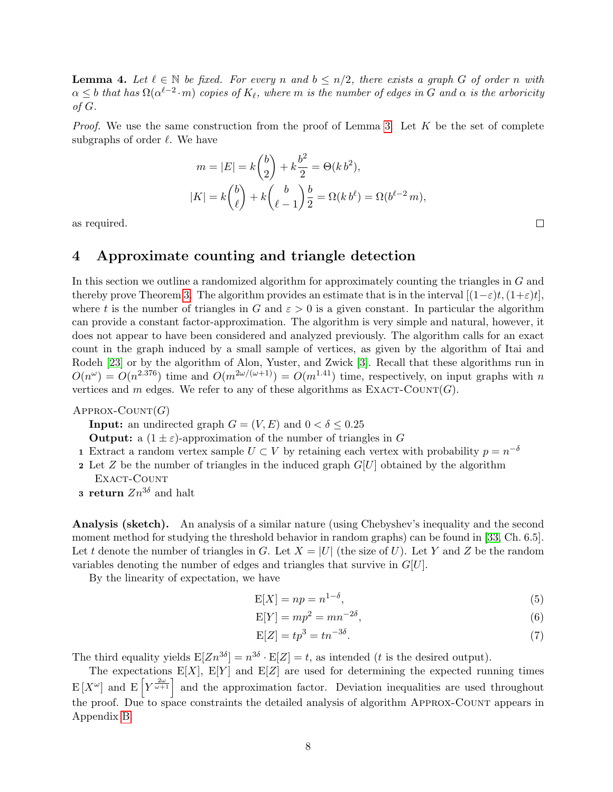<span id="page-7-0"></span>**Lemma 4.** Let  $\ell \in \mathbb{N}$  be fixed. For every n and  $b \leq n/2$ , there exists a graph G of order n with  $\alpha\leq b$  that has  $\Omega(\alpha^{\ell-2}\cdot m)$  copies of  $K_\ell$ , where m is the number of edges in G and  $\alpha$  is the arboricity of  $G$ .

*Proof.* We use the same construction from the proof of Lemma [3.](#page-6-2) Let  $K$  be the set of complete subgraphs of order  $\ell$ . We have

$$
m = |E| = k \binom{b}{2} + k \frac{b^2}{2} = \Theta(k b^2),
$$
  

$$
|K| = k \binom{b}{\ell} + k \binom{b}{\ell - 1} \frac{b}{2} = \Omega(k b^{\ell}) = \Omega(b^{\ell - 2} m),
$$

as required.

### 4 Approximate counting and triangle detection

In this section we outline a randomized algorithm for approximately counting the triangles in G and thereby prove Theorem [3.](#page-3-0) The algorithm provides an estimate that is in the interval  $[(1-\varepsilon)t,(1+\varepsilon)t]$ , where t is the number of triangles in G and  $\varepsilon > 0$  is a given constant. In particular the algorithm can provide a constant factor-approximation. The algorithm is very simple and natural, however, it does not appear to have been considered and analyzed previously. The algorithm calls for an exact count in the graph induced by a small sample of vertices, as given by the algorithm of Itai and Rodeh [\[23\]](#page-11-0) or by the algorithm of Alon, Yuster, and Zwick [\[3\]](#page-10-2). Recall that these algorithms run in  $O(n^{\omega}) = O(n^{2.376})$  time and  $O(m^{2\omega/(\omega+1)}) = O(m^{1.41})$  time, respectively, on input graphs with n vertices and m edges. We refer to any of these algorithms as  $\text{EXACT-COUNT}(G)$ .

 $APPROX-COUNT(G)$ 

**Input:** an undirected graph  $G = (V, E)$  and  $0 < \delta \leq 0.25$ 

**Output:** a  $(1 \pm \varepsilon)$ -approximation of the number of triangles in G

- 1 Extract a random vertex sample  $U \subset V$  by retaining each vertex with probability  $p = n^{-\delta}$
- 2 Let  $Z$  be the number of triangles in the induced graph  $G[U]$  obtained by the algorithm EXACT-COUNT
- **3 return**  $Zn^{3\delta}$  and halt

Analysis (sketch). An analysis of a similar nature (using Chebyshev's inequality and the second moment method for studying the threshold behavior in random graphs) can be found in [\[33,](#page-11-3) Ch. 6.5]. Let t denote the number of triangles in G. Let  $X = |U|$  (the size of U). Let Y and Z be the random variables denoting the number of edges and triangles that survive in  $G[U]$ .

By the linearity of expectation, we have

$$
E[X] = np = n^{1-\delta},\tag{5}
$$

 $\Box$ 

<span id="page-7-1"></span>
$$
E[Y] = mp^2 = mn^{-2\delta},\tag{6}
$$

<span id="page-7-2"></span>
$$
E[Z] = tp^3 = tn^{-3\delta}.
$$
\n<sup>(7)</sup>

The third equality yields  $E[Zn^{3\delta}] = n^{3\delta} \cdot E[Z] = t$ , as intended (t is the desired output).

The expectations  $E[X]$ ,  $E[Y]$  and  $E[Z]$  are used for determining the expected running times  $E[X^{\omega}]$  and  $E[Y^{\frac{2\omega}{\omega+1}}]$  and the approximation factor. Deviation inequalities are used throughout the proof. Due to space constraints the detailed analysis of algorithm Approx-Count appears in Appendix [B.](#page-15-0)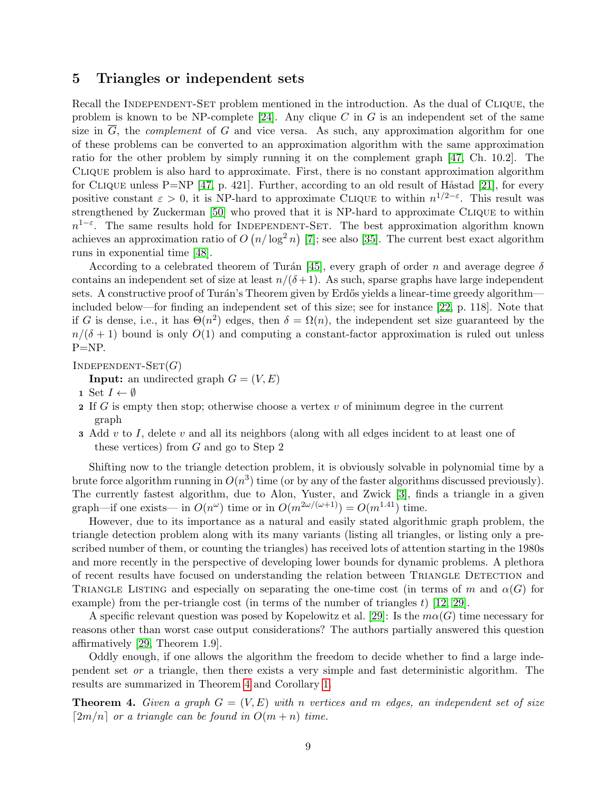### <span id="page-8-1"></span>5 Triangles or independent sets

Recall the INDEPENDENT-SET problem mentioned in the introduction. As the dual of CLIQUE, the problem is known to be NP-complete [\[24\]](#page-11-9). Any clique C in G is an independent set of the same size in  $\overline{G}$ , the *complement* of G and vice versa. As such, any approximation algorithm for one of these problems can be converted to an approximation algorithm with the same approximation ratio for the other problem by simply running it on the complement graph [\[47,](#page-12-10) Ch. 10.2]. The Clique problem is also hard to approximate. First, there is no constant approximation algorithm for CLIQUE unless P=NP [\[47,](#page-12-10) p. 421]. Further, according to an old result of Håstad [\[21\]](#page-11-10), for every positive constant  $\varepsilon > 0$ , it is NP-hard to approximate CLIQUE to within  $n^{1/2-\varepsilon}$ . This result was strengthened by Zuckerman [\[50\]](#page-12-11) who proved that it is NP-hard to approximate Clique to within  $n^{1-\varepsilon}$ . The same results hold for INDEPENDENT-SET. The best approximation algorithm known achieves an approximation ratio of  $O(n/\log^2 n)$  [\[7\]](#page-10-9); see also [\[35\]](#page-12-12). The current best exact algorithm runs in exponential time [\[48\]](#page-12-13).

According to a celebrated theorem of Turán [\[45\]](#page-12-14), every graph of order n and average degree  $\delta$ contains an independent set of size at least  $n/(\delta+1)$ . As such, sparse graphs have large independent sets. A constructive proof of Turán's Theorem given by Erdős yields a linear-time greedy algorithm included below—for finding an independent set of this size; see for instance [\[22,](#page-11-11) p. 118]. Note that if G is dense, i.e., it has  $\Theta(n^2)$  edges, then  $\delta = \Omega(n)$ , the independent set size guaranteed by the  $n/(\delta+1)$  bound is only  $O(1)$  and computing a constant-factor approximation is ruled out unless P=NP.

 $INDEPENDENT-SET(G)$ 

**Input:** an undirected graph  $G = (V, E)$ 

- 1 Set  $I \leftarrow \emptyset$
- 2 If G is empty then stop; otherwise choose a vertex  $v$  of minimum degree in the current graph
- **3** Add v to I, delete v and all its neighbors (along with all edges incident to at least one of these vertices) from G and go to Step 2

Shifting now to the triangle detection problem, it is obviously solvable in polynomial time by a brute force algorithm running in  $O(n^3)$  time (or by any of the faster algorithms discussed previously). The currently fastest algorithm, due to Alon, Yuster, and Zwick [\[3\]](#page-10-2), finds a triangle in a given graph—if one exists— in  $O(n^{\omega})$  time or in  $O(m^{2\omega/(\omega+1)}) = O(m^{1.41})$  time.

However, due to its importance as a natural and easily stated algorithmic graph problem, the triangle detection problem along with its many variants (listing all triangles, or listing only a prescribed number of them, or counting the triangles) has received lots of attention starting in the 1980s and more recently in the perspective of developing lower bounds for dynamic problems. A plethora of recent results have focused on understanding the relation between Triangle Detection and TRIANGLE LISTING and especially on separating the one-time cost (in terms of m and  $\alpha(G)$  for example) from the per-triangle cost (in terms of the number of triangles  $t$ ) [\[12,](#page-10-5) [29\]](#page-11-12).

A specific relevant question was posed by Kopelowitz et al. [\[29\]](#page-11-12): Is the  $m\alpha(G)$  time necessary for reasons other than worst case output considerations? The authors partially answered this question affirmatively [\[29,](#page-11-12) Theorem 1.9].

Oddly enough, if one allows the algorithm the freedom to decide whether to find a large independent set or a triangle, then there exists a very simple and fast deterministic algorithm. The results are summarized in Theorem [4](#page-8-0) and Corollary [1.](#page-9-0)

<span id="page-8-0"></span>**Theorem 4.** Given a graph  $G = (V, E)$  with n vertices and m edges, an independent set of size  $\lceil 2m/n \rceil$  or a triangle can be found in  $O(m + n)$  time.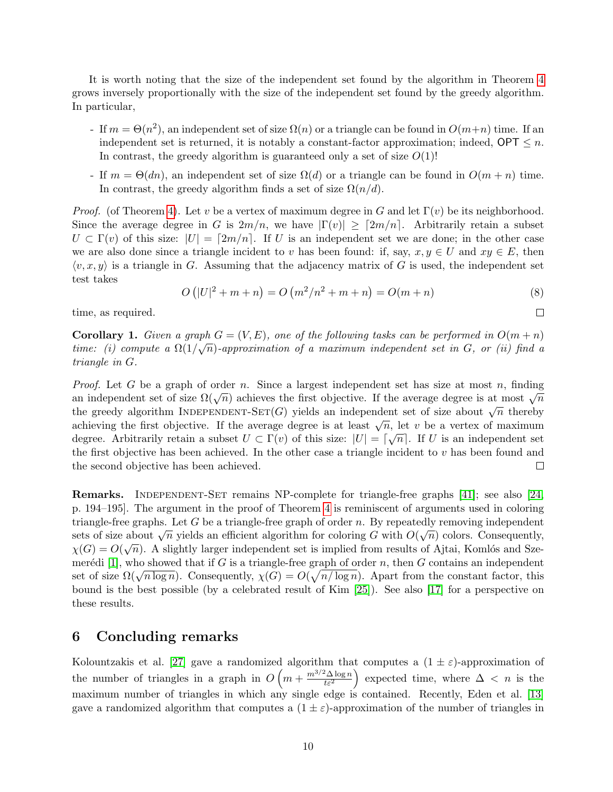It is worth noting that the size of the independent set found by the algorithm in Theorem [4](#page-8-0) grows inversely proportionally with the size of the independent set found by the greedy algorithm. In particular,

- If  $m = \Theta(n^2)$ , an independent set of size  $\Omega(n)$  or a triangle can be found in  $O(m+n)$  time. If an independent set is returned, it is notably a constant-factor approximation; indeed,  $\mathsf{OPT} \leq n$ . In contrast, the greedy algorithm is guaranteed only a set of size  $O(1)!$
- If  $m = \Theta(dn)$ , an independent set of size  $\Omega(d)$  or a triangle can be found in  $O(m+n)$  time. In contrast, the greedy algorithm finds a set of size  $\Omega(n/d)$ .

*Proof.* (of Theorem [4\)](#page-8-0). Let v be a vertex of maximum degree in G and let  $\Gamma(v)$  be its neighborhood. Since the average degree in G is  $2m/n$ , we have  $|\Gamma(v)| \geq [2m/n]$ . Arbitrarily retain a subset  $U \subset \Gamma(v)$  of this size:  $|U| = \lceil 2m/n \rceil$ . If U is an independent set we are done; in the other case we are also done since a triangle incident to v has been found: if, say,  $x, y \in U$  and  $xy \in E$ , then  $\langle v, x, y \rangle$  is a triangle in G. Assuming that the adjacency matrix of G is used, the independent set test takes

$$
O(|U|^2 + m + n) = O(m^2/n^2 + m + n) = O(m + n)
$$
\n(8)

 $\Box$ 

time, as required.

<span id="page-9-0"></span>**Corollary 1.** Given a graph  $G = (V, E)$ , one of the following tasks can be performed in  $O(m + n)$ time: (i) compute a  $\Omega(1/\sqrt{n})$ -approximation of a maximum independent set in G, or (ii) find a triangle in G.

*Proof.* Let G be a graph of order n. Since a largest independent set has size at most n, finding an independent set of size  $\Omega(\sqrt{n})$  achieves the first objective. If the average degree is at most  $\sqrt{n}$ the greedy algorithm INDEPENDENT-SET(G) yields an independent set of size about  $\sqrt{n}$  thereby achieving the first objective. If the average degree is at least  $\sqrt{n}$ , let v be a vertex of maximum achieving the first objective. If the average degree is at least  $\sqrt{n}$ , let v be a vertex of maximum degree. Arbitrarily retain a subset  $U \subset \Gamma(v)$  of this size:  $|U| = \lceil \sqrt{n} \rceil$ . If U is an independent set the first objective has been achieved. In the other case a triangle incident to  $v$  has been found and the second objective has been achieved.  $\Box$ 

Remarks. Independent-Set remains NP-complete for triangle-free graphs [\[41\]](#page-12-15); see also [\[24,](#page-11-9) p. 194–195]. The argument in the proof of Theorem [4](#page-8-0) is reminiscent of arguments used in coloring triangle-free graphs. Let G be a triangle-free graph of order n. By repeatedly removing independent sets of size about  $\sqrt{n}$  yields an efficient algorithm for coloring G with  $O(\sqrt{n})$  colors. Consequently,  $\chi(G) = O(\sqrt{n})$ . A slightly larger independent set is implied from results of Ajtai, Komlós and Sze-merédi [\[1\]](#page-10-10), who showed that if G is a triangle-free graph of order n, then G contains an independent mered [1], who showed that if G is a triangle-free graph of order *n*, then G contains an independent<br>set of size  $\Omega(\sqrt{n \log n})$ . Consequently,  $\chi(G) = O(\sqrt{n/\log n})$ . Apart from the constant factor, this bound is the best possible (by a celebrated result of Kim [\[25\]](#page-11-13)). See also [\[17\]](#page-11-14) for a perspective on these results.

### 6 Concluding remarks

Kolountzakis et al. [\[27\]](#page-11-15) gave a randomized algorithm that computes a  $(1 \pm \varepsilon)$ -approximation of the number of triangles in a graph in  $O\left(m + \frac{m^{3/2} \Delta \log n}{\epsilon^2}\right)$  $\left(\frac{2\Delta\log n}{t\varepsilon^2}\right)$  expected time, where  $\Delta < n$  is the maximum number of triangles in which any single edge is contained. Recently, Eden et al. [\[13\]](#page-10-11) gave a randomized algorithm that computes a  $(1 \pm \varepsilon)$ -approximation of the number of triangles in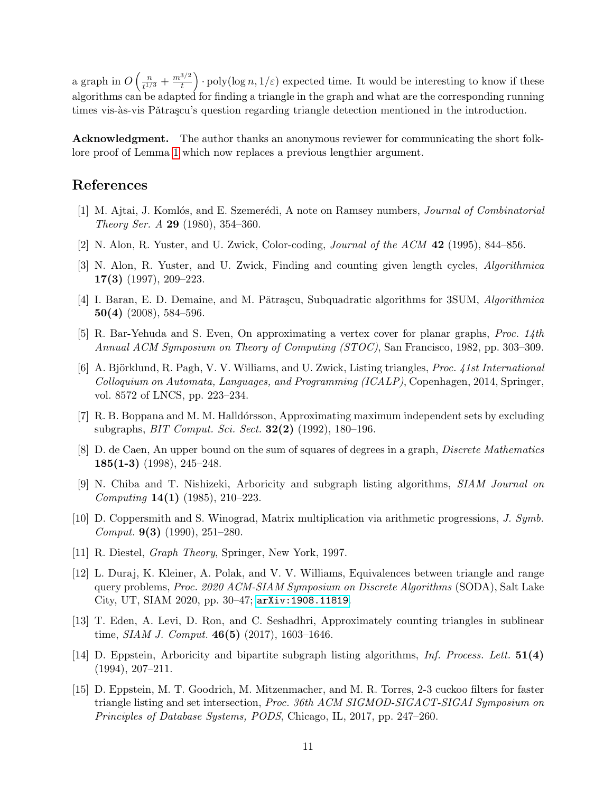a graph in  $O\left(\frac{n}{\epsilon^{1/2}}\right)$  $\frac{n}{t^{1/3}} + \frac{m^{3/2}}{t}$  $\left(\frac{3}{t}\right)$  · poly(log n,  $1/\varepsilon$ ) expected time. It would be interesting to know if these algorithms can be adapted for finding a triangle in the graph and what are the corresponding running times vis-às-vis Pătrașcu's question regarding triangle detection mentioned in the introduction.

Acknowledgment. The author thanks an anonymous reviewer for communicating the short folklore proof of Lemma [1](#page-5-0) which now replaces a previous lengthier argument.

### References

- <span id="page-10-10"></span>[1] M. Ajtai, J. Komlós, and E. Szemerédi, A note on Ramsey numbers, *Journal of Combinatorial* Theory Ser. A 29 (1980), 354–360.
- <span id="page-10-0"></span>[2] N. Alon, R. Yuster, and U. Zwick, Color-coding, *Journal of the ACM*  $42$  (1995), 844–856.
- <span id="page-10-2"></span>[3] N. Alon, R. Yuster, and U. Zwick, Finding and counting given length cycles, Algorithmica 17(3) (1997), 209–223.
- <span id="page-10-6"></span>[4] I. Baran, E. D. Demaine, and M. Pătrașcu, Subquadratic algorithms for 3SUM, Algorithmica 50(4) (2008), 584–596.
- <span id="page-10-4"></span>[5] R. Bar-Yehuda and S. Even, On approximating a vertex cover for planar graphs, Proc. 14th Annual ACM Symposium on Theory of Computing (STOC), San Francisco, 1982, pp. 303–309.
- <span id="page-10-12"></span>[6] A. Björklund, R. Pagh, V. V. Williams, and U. Zwick, Listing triangles, Proc. 41st International Colloquium on Automata, Languages, and Programming (ICALP), Copenhagen, 2014, Springer, vol. 8572 of LNCS, pp. 223–234.
- <span id="page-10-9"></span>[7] R. B. Boppana and M. M. Halldórsson, Approximating maximum independent sets by excluding subgraphs, BIT Comput. Sci. Sect. 32(2) (1992), 180–196.
- <span id="page-10-14"></span>[8] D. de Caen, An upper bound on the sum of squares of degrees in a graph, Discrete Mathematics  $185(1-3)$  (1998), 245–248.
- <span id="page-10-3"></span>[9] N. Chiba and T. Nishizeki, Arboricity and subgraph listing algorithms, SIAM Journal on Computing 14(1) (1985), 210–223.
- <span id="page-10-1"></span>[10] D. Coppersmith and S. Winograd, Matrix multiplication via arithmetic progressions, J. Symb. Comput. **9(3)** (1990), 251–280.
- <span id="page-10-7"></span>[11] R. Diestel, Graph Theory, Springer, New York, 1997.
- <span id="page-10-5"></span>[12] L. Duraj, K. Kleiner, A. Polak, and V. V. Williams, Equivalences between triangle and range query problems, Proc. 2020 ACM-SIAM Symposium on Discrete Algorithms (SODA), Salt Lake City, UT, SIAM 2020, pp. 30–47; <arXiv:1908.11819>.
- <span id="page-10-11"></span>[13] T. Eden, A. Levi, D. Ron, and C. Seshadhri, Approximately counting triangles in sublinear time, *SIAM J. Comput.* **46(5)** (2017), 1603–1646.
- <span id="page-10-8"></span>[14] D. Eppstein, Arboricity and bipartite subgraph listing algorithms, Inf. Process. Lett. 51(4) (1994), 207–211.
- <span id="page-10-13"></span>[15] D. Eppstein, M. T. Goodrich, M. Mitzenmacher, and M. R. Torres, 2-3 cuckoo filters for faster triangle listing and set intersection, Proc. 36th ACM SIGMOD-SIGACT-SIGAI Symposium on Principles of Database Systems, PODS, Chicago, IL, 2017, pp. 247–260.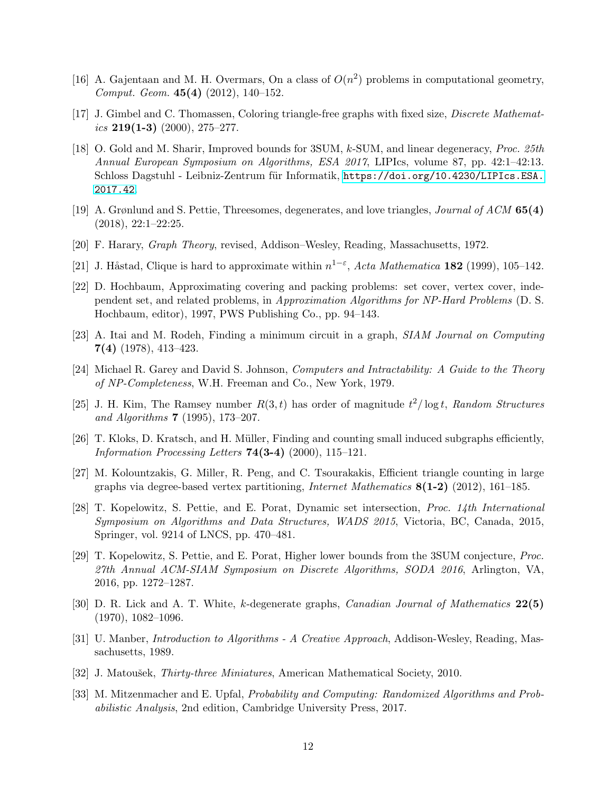- <span id="page-11-6"></span>[16] A. Gajentaan and M. H. Overmars, On a class of  $O(n^2)$  problems in computational geometry, Comput. Geom. 45(4) (2012), 140–152.
- <span id="page-11-14"></span>[17] J. Gimbel and C. Thomassen, Coloring triangle-free graphs with fixed size, Discrete Mathematics  $219(1-3)$  (2000), 275–277.
- <span id="page-11-5"></span>[18] O. Gold and M. Sharir, Improved bounds for 3SUM, k-SUM, and linear degeneracy, Proc. 25th Annual European Symposium on Algorithms, ESA 2017, LIPIcs, volume 87, pp. 42:1–42:13. Schloss Dagstuhl - Leibniz-Zentrum für Informatik, [https://doi.org/10.4230/LIPIcs.ESA.](https://doi.org/10.4230/LIPIcs.ESA.2017.42) [2017.42](https://doi.org/10.4230/LIPIcs.ESA.2017.42).
- <span id="page-11-4"></span>[19] A. Grønlund and S. Pettie, Threesomes, degenerates, and love triangles, Journal of ACM 65(4)  $(2018), 22:1-22:25.$
- <span id="page-11-8"></span>[20] F. Harary, Graph Theory, revised, Addison–Wesley, Reading, Massachusetts, 1972.
- <span id="page-11-10"></span>[21] J. Håstad, Clique is hard to approximate within  $n^{1-\epsilon}$ , Acta Mathematica 182 (1999), 105–142.
- <span id="page-11-11"></span>[22] D. Hochbaum, Approximating covering and packing problems: set cover, vertex cover, independent set, and related problems, in Approximation Algorithms for NP-Hard Problems (D. S. Hochbaum, editor), 1997, PWS Publishing Co., pp. 94–143.
- <span id="page-11-0"></span>[23] A. Itai and M. Rodeh, Finding a minimum circuit in a graph, SIAM Journal on Computing 7(4) (1978), 413–423.
- <span id="page-11-9"></span>[24] Michael R. Garey and David S. Johnson, Computers and Intractability: A Guide to the Theory of NP-Completeness, W.H. Freeman and Co., New York, 1979.
- <span id="page-11-13"></span>[25] J. H. Kim, The Ramsey number  $R(3,t)$  has order of magnitude  $t^2/\log t$ , Random Structures and Algorithms 7 (1995), 173–207.
- <span id="page-11-1"></span>[26] T. Kloks, D. Kratsch, and H. M¨uller, Finding and counting small induced subgraphs efficiently, Information Processing Letters  $74(3-4)$  (2000), 115-121.
- <span id="page-11-15"></span>[27] M. Kolountzakis, G. Miller, R. Peng, and C. Tsourakakis, Efficient triangle counting in large graphs via degree-based vertex partitioning, Internet Mathematics 8(1-2) (2012), 161–185.
- <span id="page-11-17"></span>[28] T. Kopelowitz, S. Pettie, and E. Porat, Dynamic set intersection, Proc. 14th International Symposium on Algorithms and Data Structures, WADS 2015, Victoria, BC, Canada, 2015, Springer, vol. 9214 of LNCS, pp. 470–481.
- <span id="page-11-12"></span>[29] T. Kopelowitz, S. Pettie, and E. Porat, Higher lower bounds from the 3SUM conjecture, Proc. 27th Annual ACM-SIAM Symposium on Discrete Algorithms, SODA 2016, Arlington, VA, 2016, pp. 1272–1287.
- <span id="page-11-7"></span>[30] D. R. Lick and A. T. White, k-degenerate graphs, Canadian Journal of Mathematics 22(5)  $(1970), 1082-1096.$
- <span id="page-11-2"></span>[31] U. Manber, Introduction to Algorithms - A Creative Approach, Addison-Wesley, Reading, Massachusetts, 1989.
- <span id="page-11-16"></span>[32] J. Matoušek, *Thirty-three Miniatures*, American Mathematical Society, 2010.
- <span id="page-11-3"></span>[33] M. Mitzenmacher and E. Upfal, Probability and Computing: Randomized Algorithms and Probabilistic Analysis, 2nd edition, Cambridge University Press, 2017.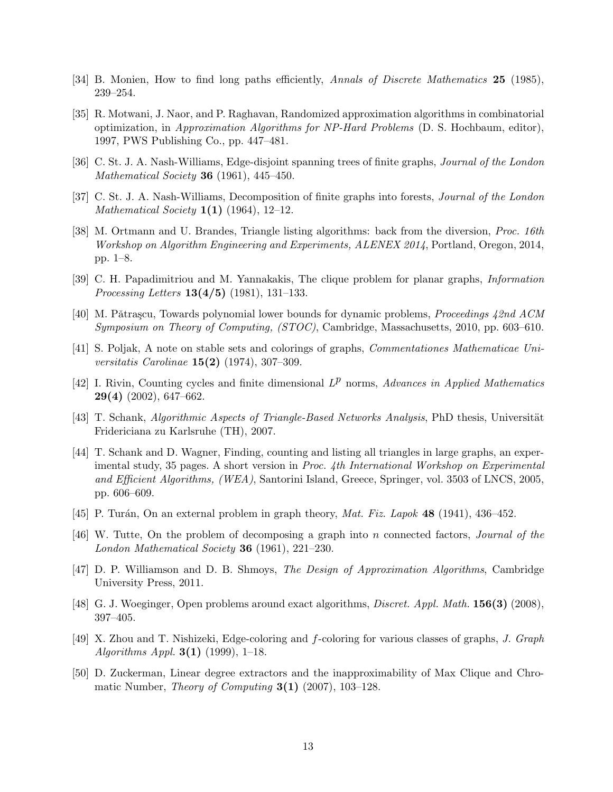- <span id="page-12-0"></span>[34] B. Monien, How to find long paths efficiently, Annals of Discrete Mathematics 25 (1985), 239–254.
- <span id="page-12-12"></span>[35] R. Motwani, J. Naor, and P. Raghavan, Randomized approximation algorithms in combinatorial optimization, in Approximation Algorithms for NP-Hard Problems (D. S. Hochbaum, editor), 1997, PWS Publishing Co., pp. 447–481.
- <span id="page-12-3"></span>[36] C. St. J. A. Nash-Williams, Edge-disjoint spanning trees of finite graphs, Journal of the London Mathematical Society **36** (1961), 445-450.
- <span id="page-12-4"></span>[37] C. St. J. A. Nash-Williams, Decomposition of finite graphs into forests, *Journal of the London Mathematical Society*  $1(1)$  (1964), 12–12.
- <span id="page-12-16"></span>[38] M. Ortmann and U. Brandes, Triangle listing algorithms: back from the diversion, Proc. 16th Workshop on Algorithm Engineering and Experiments, ALENEX 2014, Portland, Oregon, 2014, pp. 1–8.
- <span id="page-12-1"></span>[39] C. H. Papadimitriou and M. Yannakakis, The clique problem for planar graphs, Information *Processing Letters*  $13(4/5)$  (1981), 131–133.
- <span id="page-12-2"></span>[40] M. Pǎtraṣcu, Towards polynomial lower bounds for dynamic problems, *Proceedings 42nd ACM* Symposium on Theory of Computing, (STOC), Cambridge, Massachusetts, 2010, pp. 603–610.
- <span id="page-12-15"></span>[41] S. Poljak, A note on stable sets and colorings of graphs, Commentationes Mathematicae Universitatis Carolinae 15(2) (1974), 307–309.
- <span id="page-12-9"></span>[42] I. Rivin, Counting cycles and finite dimensional  $L^p$  norms, Advances in Applied Mathematics 29(4) (2002), 647–662.
- <span id="page-12-7"></span>[43] T. Schank, Algorithmic Aspects of Triangle-Based Networks Analysis, PhD thesis, Universität Fridericiana zu Karlsruhe (TH), 2007.
- <span id="page-12-8"></span>[44] T. Schank and D. Wagner, Finding, counting and listing all triangles in large graphs, an experimental study, 35 pages. A short version in Proc. 4th International Workshop on Experimental and Efficient Algorithms, (WEA), Santorini Island, Greece, Springer, vol. 3503 of LNCS, 2005, pp. 606–609.
- <span id="page-12-14"></span>[45] P. Turán, On an external problem in graph theory, Mat. Fiz. Lapok  $48$  (1941), 436-452.
- <span id="page-12-5"></span>[46] W. Tutte, On the problem of decomposing a graph into n connected factors, Journal of the London Mathematical Society 36 (1961), 221–230.
- <span id="page-12-10"></span>[47] D. P. Williamson and D. B. Shmoys, The Design of Approximation Algorithms, Cambridge University Press, 2011.
- <span id="page-12-13"></span>[48] G. J. Woeginger, Open problems around exact algorithms, *Discret. Appl. Math.* **156(3)** (2008), 397–405.
- <span id="page-12-6"></span>[49] X. Zhou and T. Nishizeki, Edge-coloring and f-coloring for various classes of graphs, J. Graph Algorithms Appl.  $3(1)$  (1999), 1–18.
- <span id="page-12-11"></span>[50] D. Zuckerman, Linear degree extractors and the inapproximability of Max Clique and Chromatic Number, *Theory of Computing*  $3(1)$  (2007), 103–128.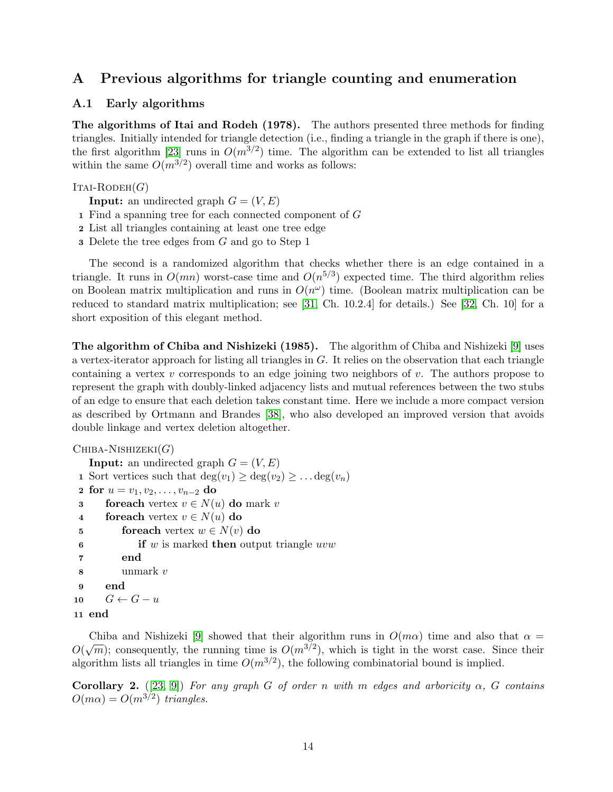# <span id="page-13-0"></span>A Previous algorithms for triangle counting and enumeration

#### A.1 Early algorithms

The algorithms of Itai and Rodeh (1978). The authors presented three methods for finding triangles. Initially intended for triangle detection (i.e., finding a triangle in the graph if there is one), the first algorithm [\[23\]](#page-11-0) runs in  $O(m^{3/2})$  time. The algorithm can be extended to list all triangles within the same  $O(m^{3/2})$  overall time and works as follows:

#### $IrAI-RODEH(G)$

**Input:** an undirected graph  $G = (V, E)$ 

- 1 Find a spanning tree for each connected component of G
- 2 List all triangles containing at least one tree edge
- 3 Delete the tree edges from G and go to Step 1

The second is a randomized algorithm that checks whether there is an edge contained in a triangle. It runs in  $O(mn)$  worst-case time and  $O(n^{5/3})$  expected time. The third algorithm relies on Boolean matrix multiplication and runs in  $O(n^{\omega})$  time. (Boolean matrix multiplication can be reduced to standard matrix multiplication; see [\[31,](#page-11-2) Ch. 10.2.4] for details.) See [\[32,](#page-11-16) Ch. 10] for a short exposition of this elegant method.

The algorithm of Chiba and Nishizeki (1985). The algorithm of Chiba and Nishizeki [\[9\]](#page-10-3) uses a vertex-iterator approach for listing all triangles in G. It relies on the observation that each triangle containing a vertex  $v$  corresponds to an edge joining two neighbors of  $v$ . The authors propose to represent the graph with doubly-linked adjacency lists and mutual references between the two stubs of an edge to ensure that each deletion takes constant time. Here we include a more compact version as described by Ortmann and Brandes [\[38\]](#page-12-16), who also developed an improved version that avoids double linkage and vertex deletion altogether.

```
CHIBA-NISHIZEKI(G)Input: an undirected graph G = (V, E)1 Sort vertices such that \deg(v_1) \geq \deg(v_2) \geq \ldots \deg(v_n)2 for u = v_1, v_2, \ldots, v_{n-2} do
 3 foreach vertex v \in N(u) do mark v
 4 for each vertex v \in N(u) do
 5 for each vertex w \in N(v) do
 6 if w is marked then output triangle uvw7 end
 8 unmark v
 9 end
10 G \leftarrow G - u11 end
```

```
 [9] showed that their algorithm runs in O(m\alpha) time and also that \alpha =Of \sqrt{m}; consequently, the running time is O(m^{3/2}), which is tight in the worst case. Since their
algorithm lists all triangles in time O(m^{3/2}), the following combinatorial bound is implied.
```
Corollary 2. ([\[23,](#page-11-0) [9\]](#page-10-3)) For any graph G of order n with m edges and arboricity  $\alpha$ , G contains  $O(m\alpha) = O(m^{3/2})$  triangles.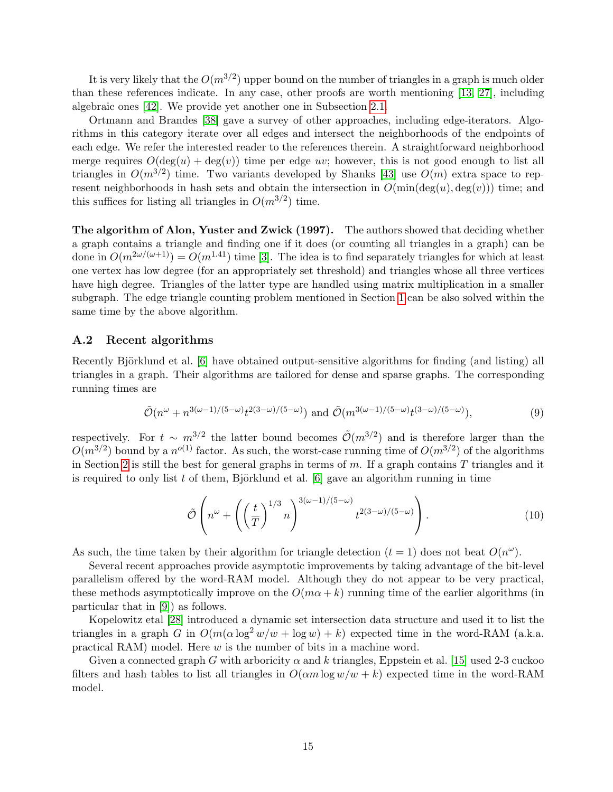It is very likely that the  $O(m^{3/2})$  upper bound on the number of triangles in a graph is much older than these references indicate. In any case, other proofs are worth mentioning [\[13,](#page-10-11) [27\]](#page-11-15), including algebraic ones [\[42\]](#page-12-9). We provide yet another one in Subsection [2.1.](#page-4-0)

Ortmann and Brandes [\[38\]](#page-12-16) gave a survey of other approaches, including edge-iterators. Algorithms in this category iterate over all edges and intersect the neighborhoods of the endpoints of each edge. We refer the interested reader to the references therein. A straightforward neighborhood merge requires  $O(\deg(u) + \deg(v))$  time per edge uv; however, this is not good enough to list all triangles in  $O(m^{3/2})$  time. Two variants developed by Shanks [\[43\]](#page-12-7) use  $O(m)$  extra space to represent neighborhoods in hash sets and obtain the intersection in  $O(\min(\deg(u), \deg(v)))$  time; and this suffices for listing all triangles in  $O(m^{3/2})$  time.

The algorithm of Alon, Yuster and Zwick (1997). The authors showed that deciding whether a graph contains a triangle and finding one if it does (or counting all triangles in a graph) can be done in  $O(m^{2\omega/(\omega+1)}) = O(m^{1.41})$  time [\[3\]](#page-10-2). The idea is to find separately triangles for which at least one vertex has low degree (for an appropriately set threshold) and triangles whose all three vertices have high degree. Triangles of the latter type are handled using matrix multiplication in a smaller subgraph. The edge triangle counting problem mentioned in Section [1](#page-0-0) can be also solved within the same time by the above algorithm.

#### A.2 Recent algorithms

Recently Björklund et al. [\[6\]](#page-10-12) have obtained output-sensitive algorithms for finding (and listing) all triangles in a graph. Their algorithms are tailored for dense and sparse graphs. The corresponding running times are

$$
\tilde{\mathcal{O}}(n^{\omega}+n^{3(\omega-1)/(5-\omega)}t^{2(3-\omega)/(5-\omega)}) \text{ and } \tilde{\mathcal{O}}(m^{3(\omega-1)/(5-\omega)}t^{(3-\omega)/(5-\omega)}),\tag{9}
$$

respectively. For  $t \sim m^{3/2}$  the latter bound becomes  $\tilde{\mathcal{O}}(m^{3/2})$  and is therefore larger than the  $O(m^{3/2})$  bound by a  $n^{o(1)}$  factor. As such, the worst-case running time of  $O(m^{3/2})$  of the algorithms in Section [2](#page-4-2) is still the best for general graphs in terms of  $m$ . If a graph contains  $T$  triangles and it is required to only list t of them, Björklund et al.  $[6]$  gave an algorithm running in time

$$
\tilde{\mathcal{O}}\left(n^{\omega} + \left(\left(\frac{t}{T}\right)^{1/3} n\right)^{3(\omega - 1)/(5 - \omega)} t^{2(3 - \omega)/(5 - \omega)}\right).
$$
\n(10)

As such, the time taken by their algorithm for triangle detection  $(t = 1)$  does not beat  $O(n^{\omega})$ .

Several recent approaches provide asymptotic improvements by taking advantage of the bit-level parallelism offered by the word-RAM model. Although they do not appear to be very practical, these methods asymptotically improve on the  $O(m\alpha + k)$  running time of the earlier algorithms (in particular that in [\[9\]](#page-10-3)) as follows.

Kopelowitz etal [\[28\]](#page-11-17) introduced a dynamic set intersection data structure and used it to list the triangles in a graph G in  $O(m(\alpha \log^2 w/w + \log w) + k)$  expected time in the word-RAM (a.k.a. practical RAM) model. Here w is the number of bits in a machine word.

Given a connected graph G with arboricity  $\alpha$  and k triangles, Eppstein et al. [\[15\]](#page-10-13) used 2-3 cuckoo filters and hash tables to list all triangles in  $O(\alpha m \log w/w + k)$  expected time in the word-RAM model.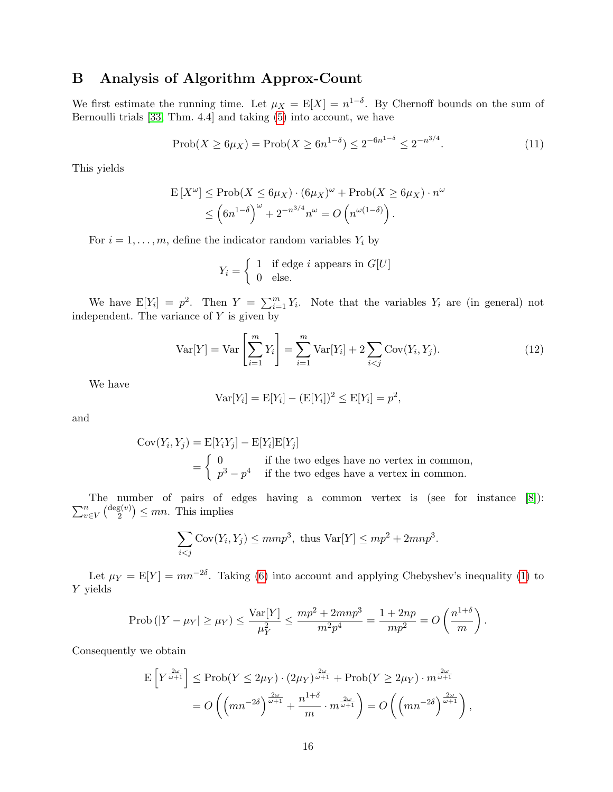# <span id="page-15-0"></span>B Analysis of Algorithm Approx-Count

We first estimate the running time. Let  $\mu_X = \mathbb{E}[X] = n^{1-\delta}$ . By Chernoff bounds on the sum of Bernoulli trials [\[33,](#page-11-3) Thm. 4.4] and taking [\(5\)](#page-7-1) into account, we have

$$
\text{Prob}(X \ge 6\mu_X) = \text{Prob}(X \ge 6n^{1-\delta}) \le 2^{-6n^{1-\delta}} \le 2^{-n^{3/4}}.\tag{11}
$$

This yields

$$
\mathcal{E}[X^{\omega}] \le \text{Prob}(X \le 6\mu_X) \cdot (6\mu_X)^{\omega} + \text{Prob}(X \ge 6\mu_X) \cdot n^{\omega}
$$
  
\$\le \left(6n^{1-\delta}\right)^{\omega} + 2^{-n^{3/4}}n^{\omega} = O\left(n^{\omega(1-\delta)}\right).

For  $i = 1, \ldots, m$ , define the indicator random variables  $Y_i$  by

$$
Y_i = \begin{cases} 1 & \text{if edge } i \text{ appears in } G[U] \\ 0 & \text{else.} \end{cases}
$$

We have  $E[Y_i] = p^2$ . Then  $Y = \sum_{i=1}^m Y_i$ . Note that the variables  $Y_i$  are (in general) not independent. The variance of  $Y$  is given by

$$
Var[Y] = Var\left[\sum_{i=1}^{m} Y_i\right] = \sum_{i=1}^{m} Var[Y_i] + 2\sum_{i < j} Cov(Y_i, Y_j). \tag{12}
$$

We have

$$
Var[Y_i] = E[Y_i] - (E[Y_i])^2 \le E[Y_i] = p^2
$$
,

and

$$
Cov(Y_i, Y_j) = E[Y_i Y_j] - E[Y_i]E[Y_j]
$$
  
= 
$$
\begin{cases} 0 & \text{if the two edges have no vertex in common,} \\ p^3 - p^4 & \text{if the two edges have a vertex in common.} \end{cases}
$$

 $\sum_{n}$ The number of pairs of edges having a common vertex is (see for instance [\[8\]](#page-10-14)):  $\frac{n}{v \in V} \left(\frac{\deg(v)}{2}\right)$  $\binom{z(v)}{2} \leq mn$ . This implies

$$
\sum_{i < j} \text{Cov}(Y_i, Y_j) \le mmp^3, \text{ thus } \text{Var}[Y] \le mp^2 + 2mnp^3.
$$

Let  $\mu_Y = E[Y] = mn^{-2\delta}$ . Taking [\(6\)](#page-7-2) into account and applying Chebyshev's inequality [\(1\)](#page-2-0) to Y yields

$$
\text{Prob}(|Y - \mu_Y| \ge \mu_Y) \le \frac{\text{Var}[Y]}{\mu_Y^2} \le \frac{mp^2 + 2mnp^3}{m^2p^4} = \frac{1 + 2np}{mp^2} = O\left(\frac{n^{1+\delta}}{m}\right).
$$

Consequently we obtain

$$
\mathcal{E}\left[Y^{\frac{2\omega}{\omega+1}}\right] \le \text{Prob}(Y \le 2\mu_Y) \cdot (2\mu_Y)^{\frac{2\omega}{\omega+1}} + \text{Prob}(Y \ge 2\mu_Y) \cdot m^{\frac{2\omega}{\omega+1}} \n= O\left(\left(mn^{-2\delta}\right)^{\frac{2\omega}{\omega+1}} + \frac{n^{1+\delta}}{m} \cdot m^{\frac{2\omega}{\omega+1}}\right) = O\left(\left(mn^{-2\delta}\right)^{\frac{2\omega}{\omega+1}}\right),
$$